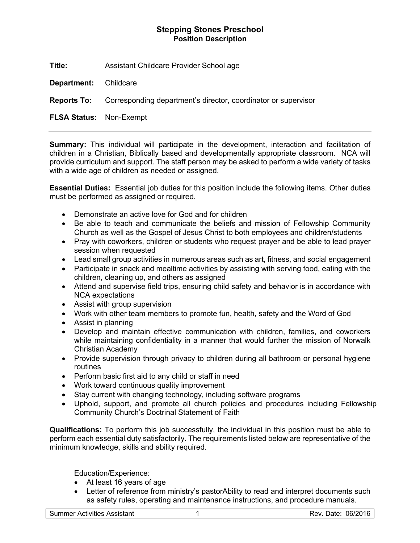## **Stepping Stones Preschool Position Description**

**Title:** Assistant Childcare Provider School age

**Department:** Childcare

**Reports To:** Corresponding department's director, coordinator or supervisor

**FLSA Status:** Non-Exempt

**Summary:** This individual will participate in the development, interaction and facilitation of children in a Christian, Biblically based and developmentally appropriate classroom. NCA will provide curriculum and support. The staff person may be asked to perform a wide variety of tasks with a wide age of children as needed or assigned.

**Essential Duties:** Essential job duties for this position include the following items. Other duties must be performed as assigned or required.

- Demonstrate an active love for God and for children
- Be able to teach and communicate the beliefs and mission of Fellowship Community Church as well as the Gospel of Jesus Christ to both employees and children/students
- Pray with coworkers, children or students who request prayer and be able to lead prayer session when requested
- Lead small group activities in numerous areas such as art, fitness, and social engagement
- Participate in snack and mealtime activities by assisting with serving food, eating with the children, cleaning up, and others as assigned
- Attend and supervise field trips, ensuring child safety and behavior is in accordance with NCA expectations
- Assist with group supervision
- Work with other team members to promote fun, health, safety and the Word of God
- Assist in planning
- Develop and maintain effective communication with children, families, and coworkers while maintaining confidentiality in a manner that would further the mission of Norwalk Christian Academy
- Provide supervision through privacy to children during all bathroom or personal hygiene routines
- Perform basic first aid to any child or staff in need
- Work toward continuous quality improvement
- Stay current with changing technology, including software programs
- Uphold, support, and promote all church policies and procedures including Fellowship Community Church's Doctrinal Statement of Faith

**Qualifications:** To perform this job successfully, the individual in this position must be able to perform each essential duty satisfactorily. The requirements listed below are representative of the minimum knowledge, skills and ability required.

Education/Experience:

- At least 16 years of age
- Letter of reference from ministry's pastorAbility to read and interpret documents such as safety rules, operating and maintenance instructions, and procedure manuals.